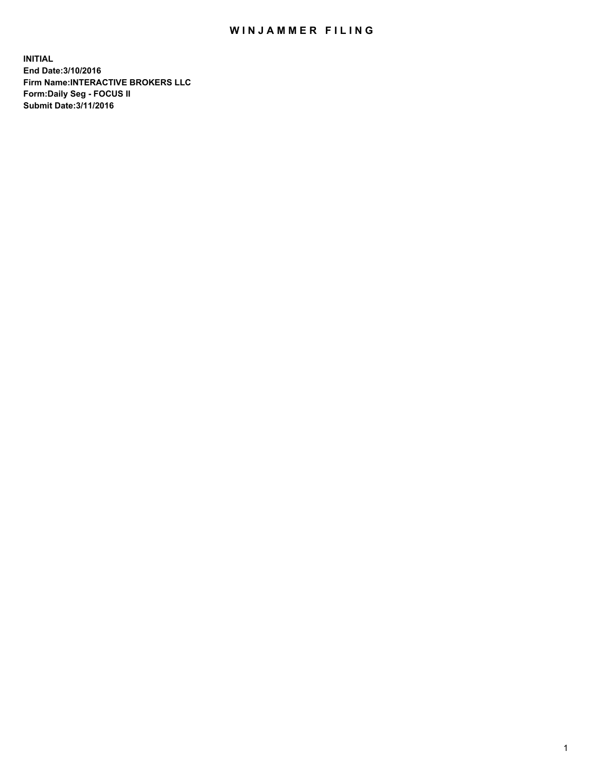## WIN JAMMER FILING

**INITIAL End Date:3/10/2016 Firm Name:INTERACTIVE BROKERS LLC Form:Daily Seg - FOCUS II Submit Date:3/11/2016**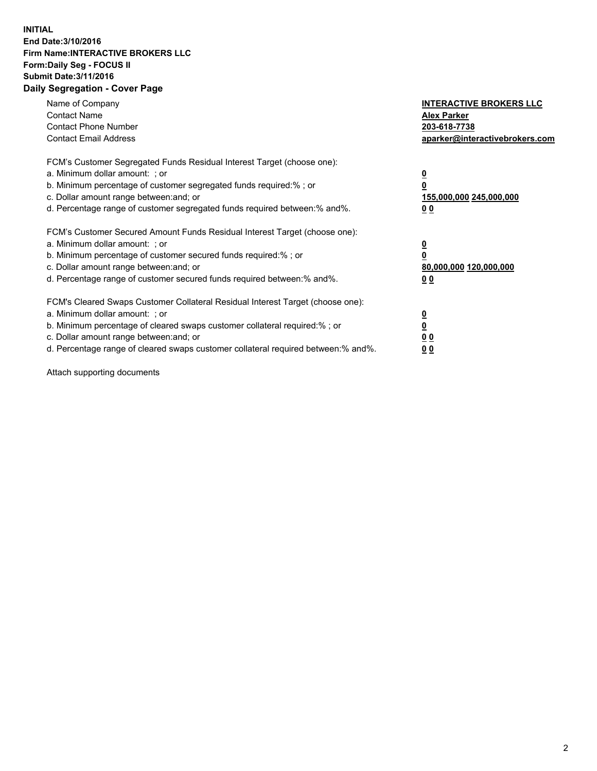## **INITIAL End Date:3/10/2016 Firm Name:INTERACTIVE BROKERS LLC Form:Daily Seg - FOCUS II Submit Date:3/11/2016 Daily Segregation - Cover Page**

| Name of Company<br><b>Contact Name</b><br><b>Contact Phone Number</b><br><b>Contact Email Address</b>                                                                                                                                                                                                                          | <b>INTERACTIVE BROKERS LLC</b><br><b>Alex Parker</b><br>203-618-7738<br>aparker@interactivebrokers.com |
|--------------------------------------------------------------------------------------------------------------------------------------------------------------------------------------------------------------------------------------------------------------------------------------------------------------------------------|--------------------------------------------------------------------------------------------------------|
| FCM's Customer Segregated Funds Residual Interest Target (choose one):<br>a. Minimum dollar amount: ; or<br>b. Minimum percentage of customer segregated funds required:% ; or<br>c. Dollar amount range between: and; or<br>d. Percentage range of customer segregated funds required between:% and%.                         | <u>0</u><br>155,000,000 245,000,000<br><u>00</u>                                                       |
| FCM's Customer Secured Amount Funds Residual Interest Target (choose one):<br>a. Minimum dollar amount: ; or<br>b. Minimum percentage of customer secured funds required:% ; or<br>c. Dollar amount range between: and; or<br>d. Percentage range of customer secured funds required between:% and%.                           | <u>0</u><br>80,000,000 120,000,000<br>0 <sub>0</sub>                                                   |
| FCM's Cleared Swaps Customer Collateral Residual Interest Target (choose one):<br>a. Minimum dollar amount: ; or<br>b. Minimum percentage of cleared swaps customer collateral required:% ; or<br>c. Dollar amount range between: and; or<br>d. Percentage range of cleared swaps customer collateral required between:% and%. | <u>0</u><br>0 <sub>0</sub><br>0 <sub>0</sub>                                                           |

Attach supporting documents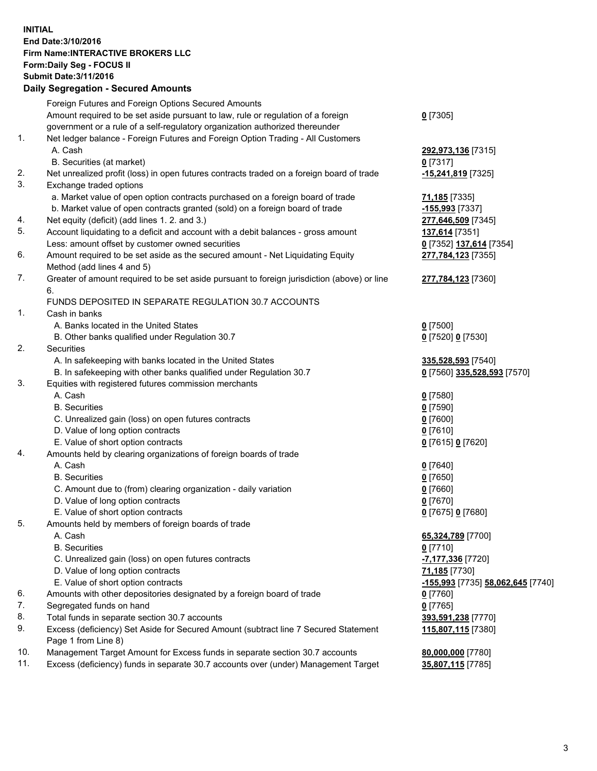## **INITIAL End Date:3/10/2016 Firm Name:INTERACTIVE BROKERS LLC Form:Daily Seg - FOCUS II Submit Date:3/11/2016 Daily Segregation - Secured Amounts**

| Daily Jegregation - Jeculed Aniounts                                                        |                                                                                                                                                                                                                                                                                                                                                                                                                                                                                            |
|---------------------------------------------------------------------------------------------|--------------------------------------------------------------------------------------------------------------------------------------------------------------------------------------------------------------------------------------------------------------------------------------------------------------------------------------------------------------------------------------------------------------------------------------------------------------------------------------------|
| Foreign Futures and Foreign Options Secured Amounts                                         |                                                                                                                                                                                                                                                                                                                                                                                                                                                                                            |
| Amount required to be set aside pursuant to law, rule or regulation of a foreign            | $0$ [7305]                                                                                                                                                                                                                                                                                                                                                                                                                                                                                 |
| government or a rule of a self-regulatory organization authorized thereunder                |                                                                                                                                                                                                                                                                                                                                                                                                                                                                                            |
| Net ledger balance - Foreign Futures and Foreign Option Trading - All Customers             |                                                                                                                                                                                                                                                                                                                                                                                                                                                                                            |
| A. Cash                                                                                     | 292,973,136 [7315]                                                                                                                                                                                                                                                                                                                                                                                                                                                                         |
| B. Securities (at market)                                                                   | $0$ [7317]                                                                                                                                                                                                                                                                                                                                                                                                                                                                                 |
| Net unrealized profit (loss) in open futures contracts traded on a foreign board of trade   | -15,241,819 [7325]                                                                                                                                                                                                                                                                                                                                                                                                                                                                         |
| Exchange traded options                                                                     |                                                                                                                                                                                                                                                                                                                                                                                                                                                                                            |
| a. Market value of open option contracts purchased on a foreign board of trade              | 71,185 [7335]                                                                                                                                                                                                                                                                                                                                                                                                                                                                              |
| b. Market value of open contracts granted (sold) on a foreign board of trade                | -155,993 [7337]                                                                                                                                                                                                                                                                                                                                                                                                                                                                            |
| Net equity (deficit) (add lines 1.2. and 3.)                                                | 277,646,509 [7345]                                                                                                                                                                                                                                                                                                                                                                                                                                                                         |
| Account liquidating to a deficit and account with a debit balances - gross amount           | 137,614 [7351]                                                                                                                                                                                                                                                                                                                                                                                                                                                                             |
| Less: amount offset by customer owned securities                                            | 0 [7352] 137,614 [7354]                                                                                                                                                                                                                                                                                                                                                                                                                                                                    |
| Amount required to be set aside as the secured amount - Net Liquidating Equity              | 277,784,123 [7355]                                                                                                                                                                                                                                                                                                                                                                                                                                                                         |
| Method (add lines 4 and 5)                                                                  |                                                                                                                                                                                                                                                                                                                                                                                                                                                                                            |
| Greater of amount required to be set aside pursuant to foreign jurisdiction (above) or line | 277,784,123 [7360]                                                                                                                                                                                                                                                                                                                                                                                                                                                                         |
| 6.                                                                                          |                                                                                                                                                                                                                                                                                                                                                                                                                                                                                            |
| FUNDS DEPOSITED IN SEPARATE REGULATION 30.7 ACCOUNTS                                        |                                                                                                                                                                                                                                                                                                                                                                                                                                                                                            |
| Cash in banks                                                                               |                                                                                                                                                                                                                                                                                                                                                                                                                                                                                            |
| A. Banks located in the United States                                                       | $0$ [7500]                                                                                                                                                                                                                                                                                                                                                                                                                                                                                 |
| B. Other banks qualified under Regulation 30.7                                              | 0 [7520] 0 [7530]                                                                                                                                                                                                                                                                                                                                                                                                                                                                          |
| Securities                                                                                  |                                                                                                                                                                                                                                                                                                                                                                                                                                                                                            |
| A. In safekeeping with banks located in the United States                                   | 335,528,593 [7540]                                                                                                                                                                                                                                                                                                                                                                                                                                                                         |
| B. In safekeeping with other banks qualified under Regulation 30.7                          | 0 [7560] 335,528,593 [7570]                                                                                                                                                                                                                                                                                                                                                                                                                                                                |
| Equities with registered futures commission merchants                                       |                                                                                                                                                                                                                                                                                                                                                                                                                                                                                            |
| A. Cash                                                                                     | $0$ [7580]                                                                                                                                                                                                                                                                                                                                                                                                                                                                                 |
| <b>B.</b> Securities                                                                        | $0$ [7590]                                                                                                                                                                                                                                                                                                                                                                                                                                                                                 |
| C. Unrealized gain (loss) on open futures contracts                                         | $0$ [7600]                                                                                                                                                                                                                                                                                                                                                                                                                                                                                 |
| D. Value of long option contracts                                                           | $0$ [7610]                                                                                                                                                                                                                                                                                                                                                                                                                                                                                 |
| E. Value of short option contracts                                                          | 0 [7615] 0 [7620]                                                                                                                                                                                                                                                                                                                                                                                                                                                                          |
| Amounts held by clearing organizations of foreign boards of trade                           |                                                                                                                                                                                                                                                                                                                                                                                                                                                                                            |
| A. Cash                                                                                     | $0$ [7640]                                                                                                                                                                                                                                                                                                                                                                                                                                                                                 |
| <b>B.</b> Securities                                                                        | $0$ [7650]                                                                                                                                                                                                                                                                                                                                                                                                                                                                                 |
| C. Amount due to (from) clearing organization - daily variation                             | $0$ [7660]                                                                                                                                                                                                                                                                                                                                                                                                                                                                                 |
|                                                                                             | $0$ [7670]                                                                                                                                                                                                                                                                                                                                                                                                                                                                                 |
|                                                                                             | 0 [7675] 0 [7680]                                                                                                                                                                                                                                                                                                                                                                                                                                                                          |
| Amounts held by members of foreign boards of trade                                          |                                                                                                                                                                                                                                                                                                                                                                                                                                                                                            |
|                                                                                             | 65,324,789 [7700]                                                                                                                                                                                                                                                                                                                                                                                                                                                                          |
|                                                                                             | $0$ [7710]                                                                                                                                                                                                                                                                                                                                                                                                                                                                                 |
|                                                                                             | -7,177,336 [7720]                                                                                                                                                                                                                                                                                                                                                                                                                                                                          |
|                                                                                             | 71,185 [7730]                                                                                                                                                                                                                                                                                                                                                                                                                                                                              |
|                                                                                             | -155,993 [7735] 58,062,645 [7740]                                                                                                                                                                                                                                                                                                                                                                                                                                                          |
|                                                                                             | $0$ [7760]                                                                                                                                                                                                                                                                                                                                                                                                                                                                                 |
|                                                                                             | $0$ [7765]                                                                                                                                                                                                                                                                                                                                                                                                                                                                                 |
|                                                                                             | 393,591,238 [7770]                                                                                                                                                                                                                                                                                                                                                                                                                                                                         |
| Page 1 from Line 8)                                                                         | 115,807,115 [7380]                                                                                                                                                                                                                                                                                                                                                                                                                                                                         |
| Management Target Amount for Excess funds in separate section 30.7 accounts                 | 80,000,000 [7780]                                                                                                                                                                                                                                                                                                                                                                                                                                                                          |
| Excess (deficiency) funds in separate 30.7 accounts over (under) Management Target          | 35,807,115 [7785]                                                                                                                                                                                                                                                                                                                                                                                                                                                                          |
|                                                                                             | D. Value of long option contracts<br>E. Value of short option contracts<br>A. Cash<br><b>B.</b> Securities<br>C. Unrealized gain (loss) on open futures contracts<br>D. Value of long option contracts<br>E. Value of short option contracts<br>Amounts with other depositories designated by a foreign board of trade<br>Segregated funds on hand<br>Total funds in separate section 30.7 accounts<br>Excess (deficiency) Set Aside for Secured Amount (subtract line 7 Secured Statement |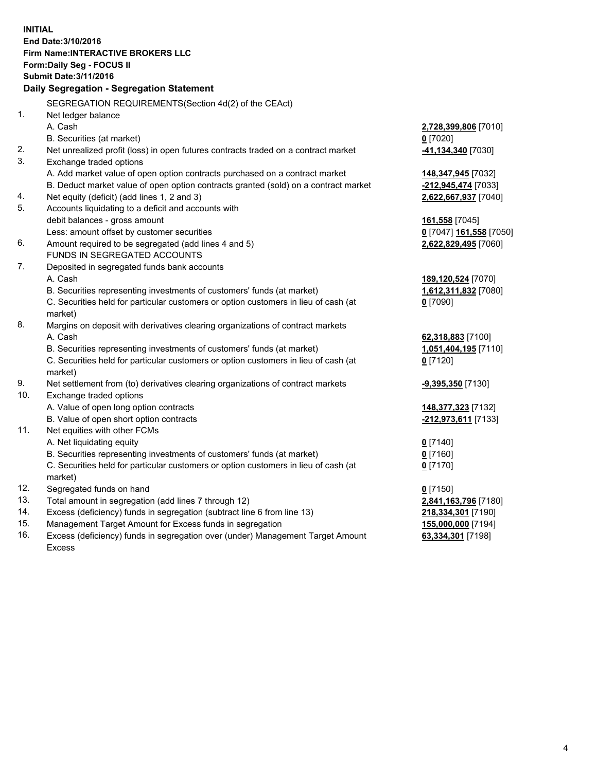**INITIAL End Date:3/10/2016 Firm Name:INTERACTIVE BROKERS LLC Form:Daily Seg - FOCUS II Submit Date:3/11/2016 Daily Segregation - Segregation Statement** SEGREGATION REQUIREMENTS(Section 4d(2) of the CEAct) 1. Net ledger balance A. Cash **2,728,399,806** [7010] B. Securities (at market) **0** [7020] 2. Net unrealized profit (loss) in open futures contracts traded on a contract market **-41,134,340** [7030] 3. Exchange traded options A. Add market value of open option contracts purchased on a contract market **148,347,945** [7032] B. Deduct market value of open option contracts granted (sold) on a contract market **-212,945,474** [7033] 4. Net equity (deficit) (add lines 1, 2 and 3) **2,622,667,937** [7040] 5. Accounts liquidating to a deficit and accounts with debit balances - gross amount **161,558** [7045] Less: amount offset by customer securities **0** [7047] **161,558** [7050] 6. Amount required to be segregated (add lines 4 and 5) **2,622,829,495** [7060] FUNDS IN SEGREGATED ACCOUNTS 7. Deposited in segregated funds bank accounts A. Cash **189,120,524** [7070] B. Securities representing investments of customers' funds (at market) **1,612,311,832** [7080] C. Securities held for particular customers or option customers in lieu of cash (at market) **0** [7090] 8. Margins on deposit with derivatives clearing organizations of contract markets A. Cash **62,318,883** [7100] B. Securities representing investments of customers' funds (at market) **1,051,404,195** [7110] C. Securities held for particular customers or option customers in lieu of cash (at market) **0** [7120] 9. Net settlement from (to) derivatives clearing organizations of contract markets **-9,395,350** [7130] 10. Exchange traded options A. Value of open long option contracts **148,377,323** [7132] B. Value of open short option contracts **-212,973,611** [7133] 11. Net equities with other FCMs A. Net liquidating equity **0** [7140] B. Securities representing investments of customers' funds (at market) **0** [7160] C. Securities held for particular customers or option customers in lieu of cash (at market) **0** [7170] 12. Segregated funds on hand **0** [7150] 13. Total amount in segregation (add lines 7 through 12) **2,841,163,796** [7180] 14. Excess (deficiency) funds in segregation (subtract line 6 from line 13) **218,334,301** [7190] 15. Management Target Amount for Excess funds in segregation **155,000,000** [7194]

16. Excess (deficiency) funds in segregation over (under) Management Target Amount Excess

**63,334,301** [7198]